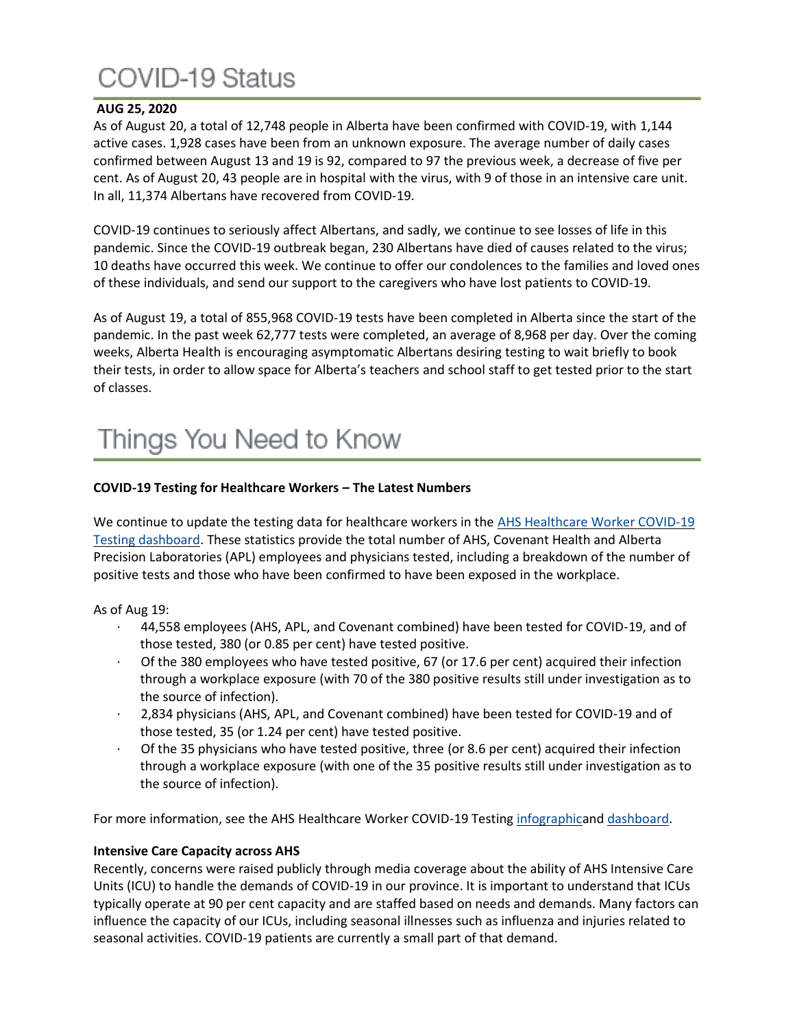## COVID-19 Status

### **AUG 25, 2020**

As of August 20, a total of 12,748 people in Alberta have been confirmed with COVID-19, with 1,144 active cases. 1,928 cases have been from an unknown exposure. The average number of daily cases confirmed between August 13 and 19 is 92, compared to 97 the previous week, a decrease of five per cent. As of August 20, 43 people are in hospital with the virus, with 9 of those in an intensive care unit. In all, 11,374 Albertans have recovered from COVID-19.

COVID-19 continues to seriously affect Albertans, and sadly, we continue to see losses of life in this pandemic. Since the COVID-19 outbreak began, 230 Albertans have died of causes related to the virus; 10 deaths have occurred this week. We continue to offer our condolences to the families and loved ones of these individuals, and send our support to the caregivers who have lost patients to COVID-19.

As of August 19, a total of 855,968 COVID-19 tests have been completed in Alberta since the start of the pandemic. In the past week 62,777 tests were completed, an average of 8,968 per day. Over the coming weeks, Alberta Health is encouraging asymptomatic Albertans desiring testing to wait briefly to book their tests, in order to allow space for Alberta's teachers and school staff to get tested prior to the start of classes.

## Things You Need to Know

#### **COVID-19 Testing for Healthcare Workers – The Latest Numbers**

We continue to update the testing data for healthcare workers in the AHS Healthcare Worker COVID-19 [Testing dashboard.](https://tableau.albertahealthservices.ca/#/views/AHSEmployeePhysicianCOVID-19TestSurveillanceDashboard/Introduction?:iid=1) These statistics provide the total number of AHS, Covenant Health and Alberta Precision Laboratories (APL) employees and physicians tested, including a breakdown of the number of positive tests and those who have been confirmed to have been exposed in the workplace.

As of Aug 19:

- · 44,558 employees (AHS, APL, and Covenant combined) have been tested for COVID-19, and of those tested, 380 (or 0.85 per cent) have tested positive.
- Of the 380 employees who have tested positive, 67 (or 17.6 per cent) acquired their infection through a workplace exposure (with 70 of the 380 positive results still under investigation as to the source of infection).
- · 2,834 physicians (AHS, APL, and Covenant combined) have been tested for COVID-19 and of those tested, 35 (or 1.24 per cent) have tested positive.
- · Of the 35 physicians who have tested positive, three (or 8.6 per cent) acquired their infection through a workplace exposure (with one of the 35 positive results still under investigation as to the source of infection).

For more information, see the AHS Healthcare Worker COVID-19 Testing [infographica](https://insite.albertahealthservices.ca/main/assets/tls/ep/tls-ep-covid-19-healthcare-worker-testing-infographic.pdf)nd [dashboard.](https://tableau.albertahealthservices.ca/#/views/AHSEmployeePhysicianCOVID-19TestSurveillanceDashboard/Introduction?:iid=1)

#### **Intensive Care Capacity across AHS**

Recently, concerns were raised publicly through media coverage about the ability of AHS Intensive Care Units (ICU) to handle the demands of COVID-19 in our province. It is important to understand that ICUs typically operate at 90 per cent capacity and are staffed based on needs and demands. Many factors can influence the capacity of our ICUs, including seasonal illnesses such as influenza and injuries related to seasonal activities. COVID-19 patients are currently a small part of that demand.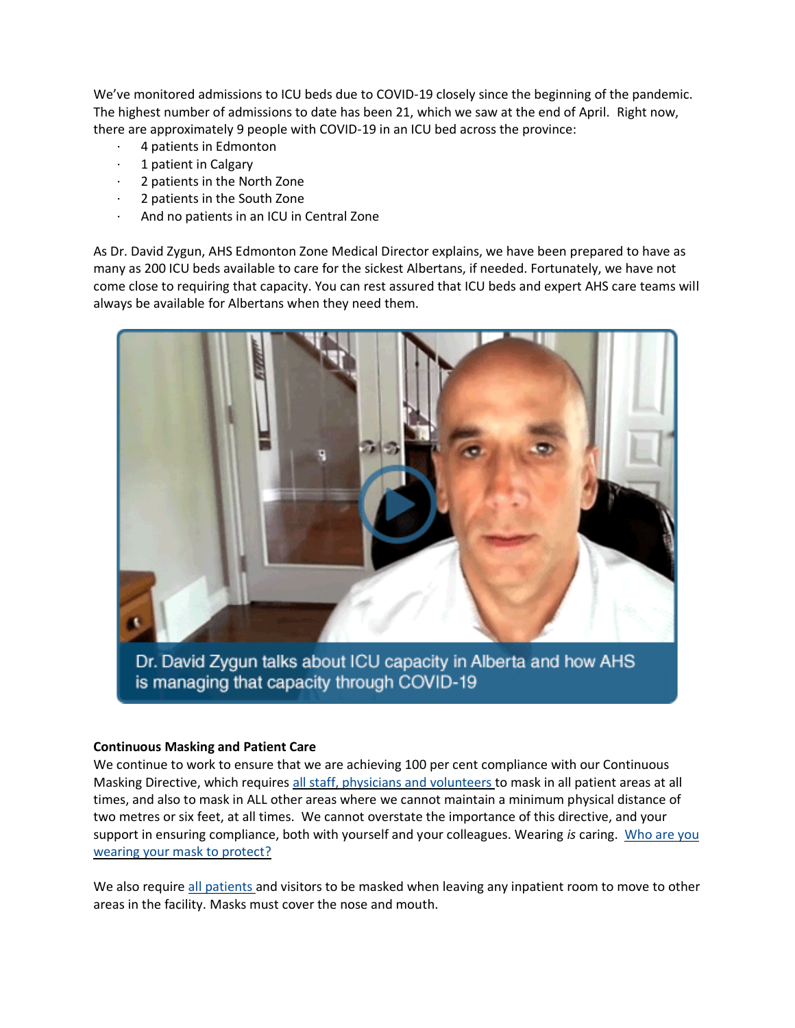We've monitored admissions to ICU beds due to COVID-19 closely since the beginning of the pandemic. The highest number of admissions to date has been 21, which we saw at the end of April. Right now, there are approximately 9 people with COVID-19 in an ICU bed across the province:

- 4 patients in Edmonton
- 1 patient in Calgary
- 2 patients in the North Zone
- 2 patients in the South Zone
- And no patients in an ICU in Central Zone

As Dr. David Zygun, AHS Edmonton Zone Medical Director explains, we have been prepared to have as many as 200 ICU beds available to care for the sickest Albertans, if needed. Fortunately, we have not come close to requiring that capacity. You can rest assured that ICU beds and expert AHS care teams will always be available for Albertans when they need them.



Dr. David Zygun talks about ICU capacity in Alberta and how AHS is managing that capacity through COVID-19

#### **Continuous Masking and Patient Care**

We continue to work to ensure that we are achieving 100 per cent compliance with our Continuous Masking Directive, which requires [all staff, physicians and volunteers](https://insite.albertahealthservices.ca/tools/Page24798.aspx) to mask in all patient areas at all times, and also to mask in ALL other areas where we cannot maintain a minimum physical distance of two metres or six feet, at all times. We cannot overstate the importance of this directive, and your support in ensuring compliance, both with yourself and your colleagues. Wearing *is* caring. [Who are you](https://www.albertahealthservices.ca/assets/info/ppih/if-ppih-covid-19-my-mask-your-mask.pdf)  [wearing your mask to protect?](https://www.albertahealthservices.ca/assets/info/ppih/if-ppih-covid-19-my-mask-your-mask.pdf)

We also require [all patients](https://www.albertahealthservices.ca/assets/info/ppih/if-ppih-covid-19-masking-visitors.pdf) and visitors to be masked when leaving any inpatient room to move to other areas in the facility. Masks must cover the nose and mouth.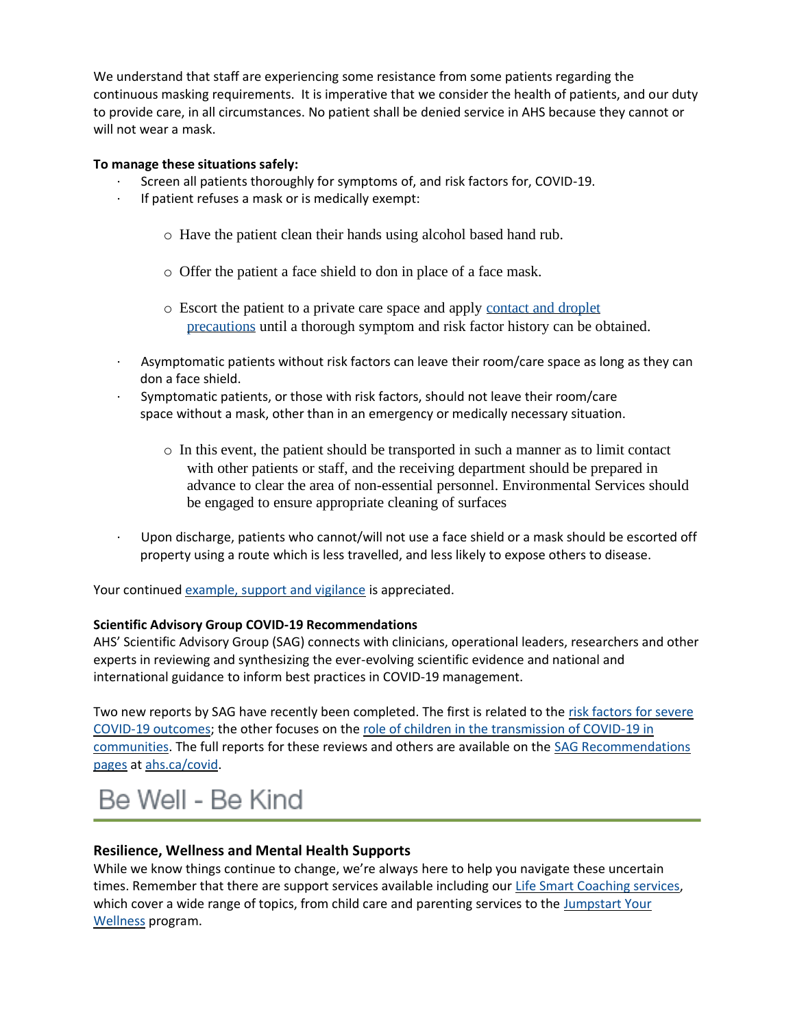We understand that staff are experiencing some resistance from some patients regarding the continuous masking requirements. It is imperative that we consider the health of patients, and our duty to provide care, in all circumstances. No patient shall be denied service in AHS because they cannot or will not wear a mask.

### **To manage these situations safely:**

- · Screen all patients thoroughly for symptoms of, and risk factors for, COVID-19.
- · If patient refuses a mask or is medically exempt:
	- o Have the patient clean their hands using alcohol based hand rub.
	- o Offer the patient a face shield to don in place of a face mask.
	- o Escort the patient to a private care space and apply [contact and droplet](https://www.albertahealthservices.ca/assets/healthinfo/ipc/hi-ipc-contact-and-droplet-precautions-info.pdf)  [precautions](https://www.albertahealthservices.ca/assets/healthinfo/ipc/hi-ipc-contact-and-droplet-precautions-info.pdf) until a thorough symptom and risk factor history can be obtained.
- · Asymptomatic patients without risk factors can leave their room/care space as long as they can don a face shield.
- · Symptomatic patients, or those with risk factors, should not leave their room/care space without a mask, other than in an emergency or medically necessary situation.
	- o In this event, the patient should be transported in such a manner as to limit contact with other patients or staff, and the receiving department should be prepared in advance to clear the area of non-essential personnel. Environmental Services should be engaged to ensure appropriate cleaning of surfaces
- · Upon discharge, patients who cannot/will not use a face shield or a mask should be escorted off property using a route which is less travelled, and less likely to expose others to disease.

Your continued [example, support and vigilance](https://www.albertahealthservices.ca/assets/info/ppih/if-ppih-covid-19-pandemic-continues-8-5x11.pdf) is appreciated.

#### **Scientific Advisory Group COVID-19 Recommendations**

AHS' Scientific Advisory Group (SAG) connects with clinicians, operational leaders, researchers and other experts in reviewing and synthesizing the ever-evolving scientific evidence and national and international guidance to inform best practices in COVID-19 management.

Two new reports by SAG have recently been completed. The first is related to the [risk factors for severe](https://www.albertahealthservices.ca/assets/info/ppih/if-ppih-covid-19-sag-risk-factors-for-severe-covid-19-outcomes-rapid-review.pdf)  [COVID-19 outcomes;](https://www.albertahealthservices.ca/assets/info/ppih/if-ppih-covid-19-sag-risk-factors-for-severe-covid-19-outcomes-rapid-review.pdf) the other focuses on the [role of children in the transmission of COVID-19 in](https://www.albertahealthservices.ca/assets/info/ppih/if-ppih-covid-19-sag-role-of-children-in-community-transmission-rapid-review.pdf)  [communities.](https://www.albertahealthservices.ca/assets/info/ppih/if-ppih-covid-19-sag-role-of-children-in-community-transmission-rapid-review.pdf) The full reports for these reviews and others are available on the [SAG Recommendations](https://www.albertahealthservices.ca/topics/Page17074.aspx)  [pages](https://www.albertahealthservices.ca/topics/Page17074.aspx) at [ahs.ca/covid.](http://www.ahs.ca/covid)

# Be Well - Be Kind

#### **Resilience, Wellness and Mental Health Supports**

While we know things continue to change, we're always here to help you navigate these uncertain times. Remember that there are support services available including our [Life Smart Coaching services,](https://insite.albertahealthservices.ca/hr/Page964.aspx) which cover a wide range of topics, from child care and parenting services to the [Jumpstart Your](https://insite.albertahealthservices.ca/Main/assets/hr/tms-hr-whs-efap-health-coaching.pdf#search=jumpstart%20your%20wellness)  [Wellness](https://insite.albertahealthservices.ca/Main/assets/hr/tms-hr-whs-efap-health-coaching.pdf#search=jumpstart%20your%20wellness) program.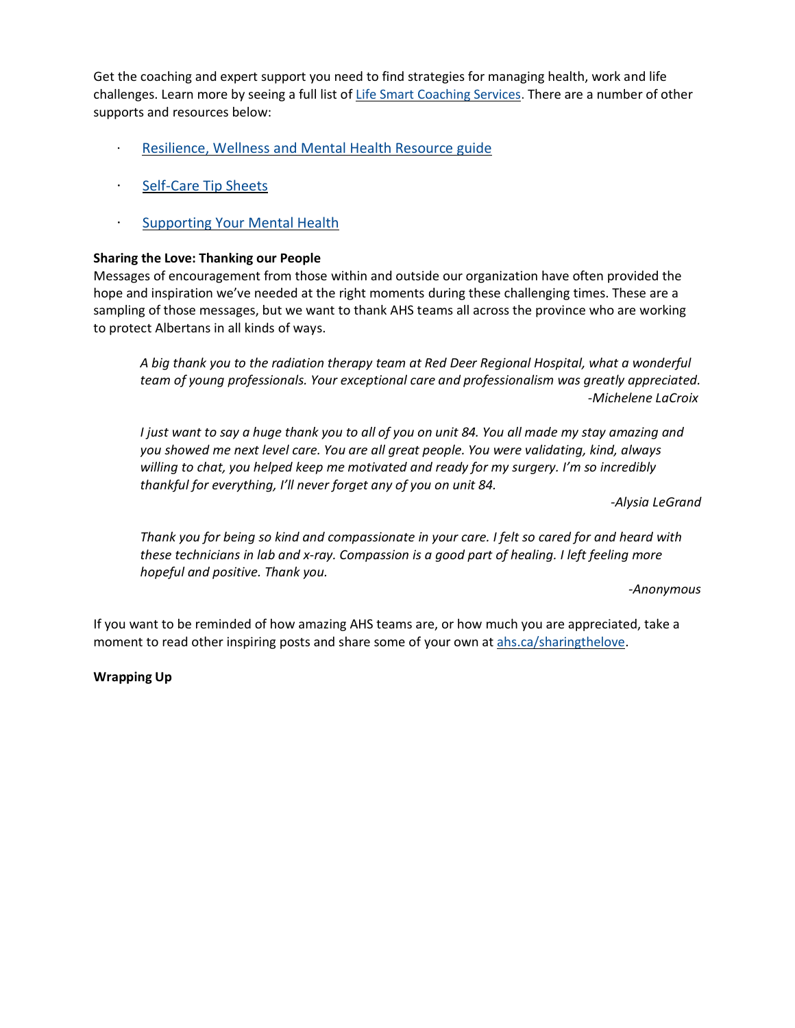Get the coaching and expert support you need to find strategies for managing health, work and life challenges. Learn more by seeing a full list of [Life Smart Coaching Services.](https://insite.albertahealthservices.ca/main/assets/hr/tms-hr-whs-efap-life-smart-coaching-services.pdf) There are a number of other supports and resources below:

- · [Resilience, Wellness and Mental Health Resource guide](https://insite.albertahealthservices.ca/Main/assets/hr/tms-hr-whs-resilience-wellness-mental-health-resource-guide.pdf)
- · [Self-Care Tip Sheets](https://insite.albertahealthservices.ca/Main/assets/hr/tms-hr-whs-self-care-tactics.pdf)
- · [Supporting Your Mental Health](https://insite.albertahealthservices.ca/main/assets/hr/tms-hr-mental-health-resource.pdf)

#### **Sharing the Love: Thanking our People**

Messages of encouragement from those within and outside our organization have often provided the hope and inspiration we've needed at the right moments during these challenging times. These are a sampling of those messages, but we want to thank AHS teams all across the province who are working to protect Albertans in all kinds of ways.

*A big thank you to the radiation therapy team at Red Deer Regional Hospital, what a wonderful team of young professionals. Your exceptional care and professionalism was greatly appreciated. -Michelene LaCroix*

I just want to say a huge thank you to all of you on unit 84. You all made my stay amazing and *you showed me next level care. You are all great people. You were validating, kind, always willing to chat, you helped keep me motivated and ready for my surgery. I'm so incredibly thankful for everything, I'll never forget any of you on unit 84.*

*-Alysia LeGrand*

Thank you for being so kind and compassionate in your care. I felt so cared for and heard with *these technicians in lab and x-ray. Compassion is a good part of healing. I left feeling more hopeful and positive. Thank you.*

*-Anonymous*

If you want to be reminded of how amazing AHS teams are, or how much you are appreciated, take a moment to read other inspiring posts and share some of your own at [ahs.ca/sharingthelove.](https://www.albertahealthservices.ca/about/page13797.aspx)

**Wrapping Up**